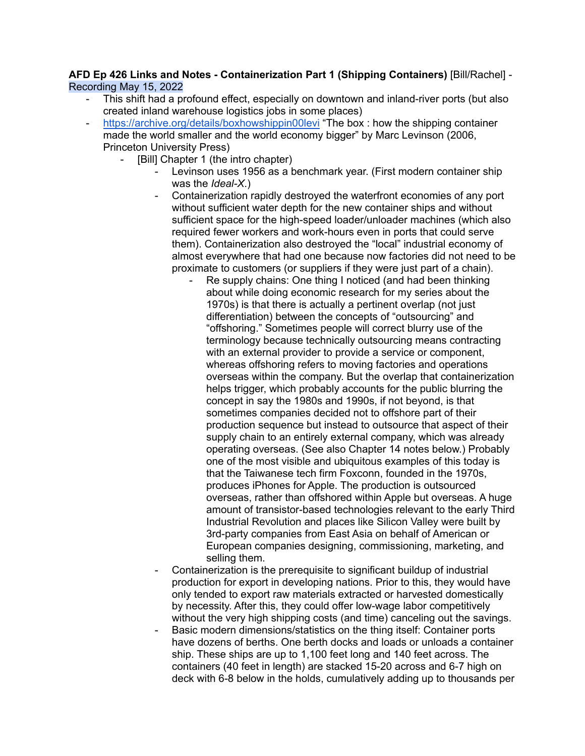## **AFD Ep 426 Links and Notes - Containerization Part 1 (Shipping Containers)** [Bill/Rachel] - Recording May 15, 2022

- This shift had a profound effect, especially on downtown and inland-river ports (but also created inland warehouse logistics jobs in some places)
- <https://archive.org/details/boxhowshippin00levi> "The box : how the shipping container made the world smaller and the world economy bigger" by Marc Levinson (2006, Princeton University Press)
	- [Bill] Chapter 1 (the intro chapter)
		- Levinson uses 1956 as a benchmark year. (First modern container ship was the *Ideal-X*.)
		- Containerization rapidly destroyed the waterfront economies of any port without sufficient water depth for the new container ships and without sufficient space for the high-speed loader/unloader machines (which also required fewer workers and work-hours even in ports that could serve them). Containerization also destroyed the "local" industrial economy of almost everywhere that had one because now factories did not need to be proximate to customers (or suppliers if they were just part of a chain).
			- Re supply chains: One thing I noticed (and had been thinking about while doing economic research for my series about the 1970s) is that there is actually a pertinent overlap (not just differentiation) between the concepts of "outsourcing" and "offshoring." Sometimes people will correct blurry use of the terminology because technically outsourcing means contracting with an external provider to provide a service or component, whereas offshoring refers to moving factories and operations overseas within the company. But the overlap that containerization helps trigger, which probably accounts for the public blurring the concept in say the 1980s and 1990s, if not beyond, is that sometimes companies decided not to offshore part of their production sequence but instead to outsource that aspect of their supply chain to an entirely external company, which was already operating overseas. (See also Chapter 14 notes below.) Probably one of the most visible and ubiquitous examples of this today is that the Taiwanese tech firm Foxconn, founded in the 1970s, produces iPhones for Apple. The production is outsourced overseas, rather than offshored within Apple but overseas. A huge amount of transistor-based technologies relevant to the early Third Industrial Revolution and places like Silicon Valley were built by 3rd-party companies from East Asia on behalf of American or European companies designing, commissioning, marketing, and selling them.
		- Containerization is the prerequisite to significant buildup of industrial production for export in developing nations. Prior to this, they would have only tended to export raw materials extracted or harvested domestically by necessity. After this, they could offer low-wage labor competitively without the very high shipping costs (and time) canceling out the savings.
		- Basic modern dimensions/statistics on the thing itself: Container ports have dozens of berths. One berth docks and loads or unloads a container ship. These ships are up to 1,100 feet long and 140 feet across. The containers (40 feet in length) are stacked 15-20 across and 6-7 high on deck with 6-8 below in the holds, cumulatively adding up to thousands per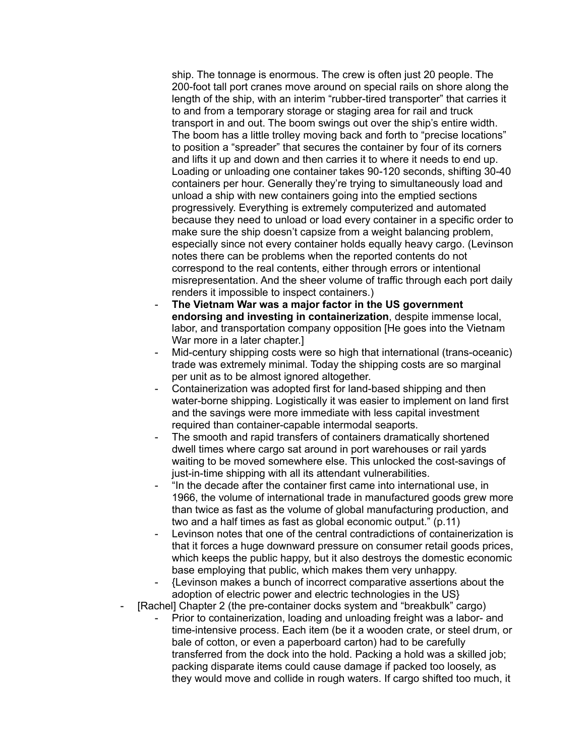ship. The tonnage is enormous. The crew is often just 20 people. The 200-foot tall port cranes move around on special rails on shore along the length of the ship, with an interim "rubber-tired transporter" that carries it to and from a temporary storage or staging area for rail and truck transport in and out. The boom swings out over the ship's entire width. The boom has a little trolley moving back and forth to "precise locations" to position a "spreader" that secures the container by four of its corners and lifts it up and down and then carries it to where it needs to end up. Loading or unloading one container takes 90-120 seconds, shifting 30-40 containers per hour. Generally they're trying to simultaneously load and unload a ship with new containers going into the emptied sections progressively. Everything is extremely computerized and automated because they need to unload or load every container in a specific order to make sure the ship doesn't capsize from a weight balancing problem, especially since not every container holds equally heavy cargo. (Levinson notes there can be problems when the reported contents do not correspond to the real contents, either through errors or intentional misrepresentation. And the sheer volume of traffic through each port daily renders it impossible to inspect containers.)

- **The Vietnam War was a major factor in the US government endorsing and investing in containerization**, despite immense local, labor, and transportation company opposition [He goes into the Vietnam War more in a later chapter.]
- Mid-century shipping costs were so high that international (trans-oceanic) trade was extremely minimal. Today the shipping costs are so marginal per unit as to be almost ignored altogether.
- Containerization was adopted first for land-based shipping and then water-borne shipping. Logistically it was easier to implement on land first and the savings were more immediate with less capital investment required than container-capable intermodal seaports.
- The smooth and rapid transfers of containers dramatically shortened dwell times where cargo sat around in port warehouses or rail yards waiting to be moved somewhere else. This unlocked the cost-savings of just-in-time shipping with all its attendant vulnerabilities.
- "In the decade after the container first came into international use, in 1966, the volume of international trade in manufactured goods grew more than twice as fast as the volume of global manufacturing production, and two and a half times as fast as global economic output." (p.11)
- Levinson notes that one of the central contradictions of containerization is that it forces a huge downward pressure on consumer retail goods prices, which keeps the public happy, but it also destroys the domestic economic base employing that public, which makes them very unhappy.
- {Levinson makes a bunch of incorrect comparative assertions about the adoption of electric power and electric technologies in the US}
- [Rachel] Chapter 2 (the pre-container docks system and "breakbulk" cargo)
	- Prior to containerization, loading and unloading freight was a labor- and time-intensive process. Each item (be it a wooden crate, or steel drum, or bale of cotton, or even a paperboard carton) had to be carefully transferred from the dock into the hold. Packing a hold was a skilled job; packing disparate items could cause damage if packed too loosely, as they would move and collide in rough waters. If cargo shifted too much, it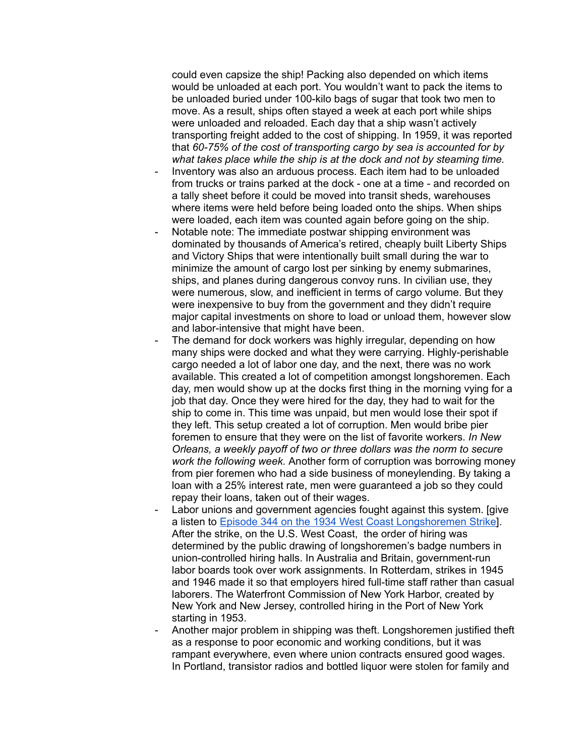could even capsize the ship! Packing also depended on which items would be unloaded at each port. You wouldn't want to pack the items to be unloaded buried under 100-kilo bags of sugar that took two men to move. As a result, ships often stayed a week at each port while ships were unloaded and reloaded. Each day that a ship wasn't actively transporting freight added to the cost of shipping. In 1959, it was reported that *60-75% of the cost of transporting cargo by sea is accounted for by what takes place while the ship is at the dock and not by steaming time.*

- Inventory was also an arduous process. Each item had to be unloaded from trucks or trains parked at the dock - one at a time - and recorded on a tally sheet before it could be moved into transit sheds, warehouses where items were held before being loaded onto the ships. When ships were loaded, each item was counted again before going on the ship.
- Notable note: The immediate postwar shipping environment was dominated by thousands of America's retired, cheaply built Liberty Ships and Victory Ships that were intentionally built small during the war to minimize the amount of cargo lost per sinking by enemy submarines, ships, and planes during dangerous convoy runs. In civilian use, they were numerous, slow, and inefficient in terms of cargo volume. But they were inexpensive to buy from the government and they didn't require major capital investments on shore to load or unload them, however slow and labor-intensive that might have been.
- The demand for dock workers was highly irregular, depending on how many ships were docked and what they were carrying. Highly-perishable cargo needed a lot of labor one day, and the next, there was no work available. This created a lot of competition amongst longshoremen. Each day, men would show up at the docks first thing in the morning vying for a job that day. Once they were hired for the day, they had to wait for the ship to come in. This time was unpaid, but men would lose their spot if they left. This setup created a lot of corruption. Men would bribe pier foremen to ensure that they were on the list of favorite workers. *In New Orleans, a weekly payoff of two or three dollars was the norm to secure work the following week.* Another form of corruption was borrowing money from pier foremen who had a side business of moneylending. By taking a loan with a 25% interest rate, men were guaranteed a job so they could repay their loans, taken out of their wages.
- Labor unions and government agencies fought against this system. [give] a listen to Episode 344 on the 1934 West Coast [Longshoremen](http://arsenalfordemocracy.com/2021/01/25/jan-24-2021-the-1934-west-coast-ports-strike-arsenal-for-democracy-ep-344/) Strike]. After the strike, on the U.S. West Coast, the order of hiring was determined by the public drawing of longshoremen's badge numbers in union-controlled hiring halls. In Australia and Britain, government-run labor boards took over work assignments. In Rotterdam, strikes in 1945 and 1946 made it so that employers hired full-time staff rather than casual laborers. The Waterfront Commission of New York Harbor, created by New York and New Jersey, controlled hiring in the Port of New York starting in 1953.
- Another major problem in shipping was theft. Longshoremen justified theft as a response to poor economic and working conditions, but it was rampant everywhere, even where union contracts ensured good wages. In Portland, transistor radios and bottled liquor were stolen for family and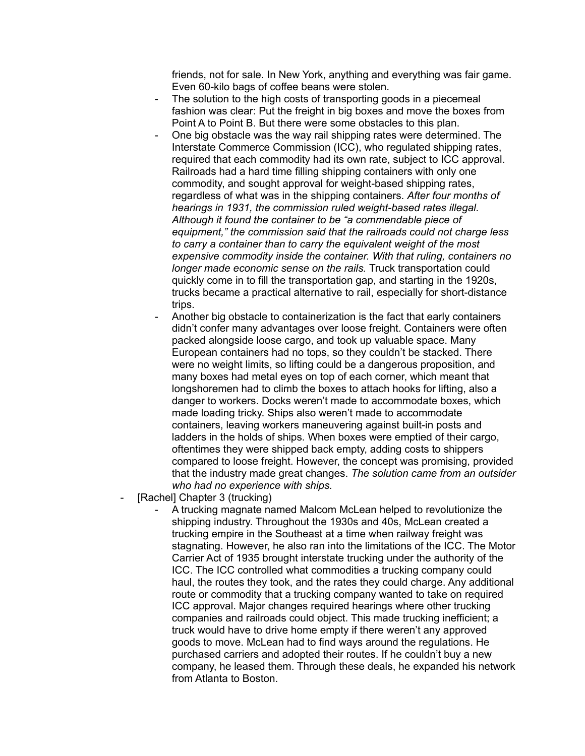friends, not for sale. In New York, anything and everything was fair game. Even 60-kilo bags of coffee beans were stolen.

- The solution to the high costs of transporting goods in a piecemeal fashion was clear: Put the freight in big boxes and move the boxes from Point A to Point B. But there were some obstacles to this plan.
- One big obstacle was the way rail shipping rates were determined. The Interstate Commerce Commission (ICC), who regulated shipping rates, required that each commodity had its own rate, subject to ICC approval. Railroads had a hard time filling shipping containers with only one commodity, and sought approval for weight-based shipping rates, regardless of what was in the shipping containers. *After four months of hearings in 1931, the commission ruled weight-based rates illegal. Although it found the container to be "a commendable piece of equipment," the commission said that the railroads could not charge less to carry a container than to carry the equivalent weight of the most expensive commodity inside the container. With that ruling, containers no longer made economic sense on the rails.* Truck transportation could quickly come in to fill the transportation gap, and starting in the 1920s, trucks became a practical alternative to rail, especially for short-distance trips.
- Another big obstacle to containerization is the fact that early containers didn't confer many advantages over loose freight. Containers were often packed alongside loose cargo, and took up valuable space. Many European containers had no tops, so they couldn't be stacked. There were no weight limits, so lifting could be a dangerous proposition, and many boxes had metal eyes on top of each corner, which meant that longshoremen had to climb the boxes to attach hooks for lifting, also a danger to workers. Docks weren't made to accommodate boxes, which made loading tricky. Ships also weren't made to accommodate containers, leaving workers maneuvering against built-in posts and ladders in the holds of ships. When boxes were emptied of their cargo, oftentimes they were shipped back empty, adding costs to shippers compared to loose freight. However, the concept was promising, provided that the industry made great changes. *The solution came from an outsider who had no experience with ships.*
- [Rachel] Chapter 3 (trucking)
	- A trucking magnate named Malcom McLean helped to revolutionize the shipping industry. Throughout the 1930s and 40s, McLean created a trucking empire in the Southeast at a time when railway freight was stagnating. However, he also ran into the limitations of the ICC. The Motor Carrier Act of 1935 brought interstate trucking under the authority of the ICC. The ICC controlled what commodities a trucking company could haul, the routes they took, and the rates they could charge. Any additional route or commodity that a trucking company wanted to take on required ICC approval. Major changes required hearings where other trucking companies and railroads could object. This made trucking inefficient; a truck would have to drive home empty if there weren't any approved goods to move. McLean had to find ways around the regulations. He purchased carriers and adopted their routes. If he couldn't buy a new company, he leased them. Through these deals, he expanded his network from Atlanta to Boston.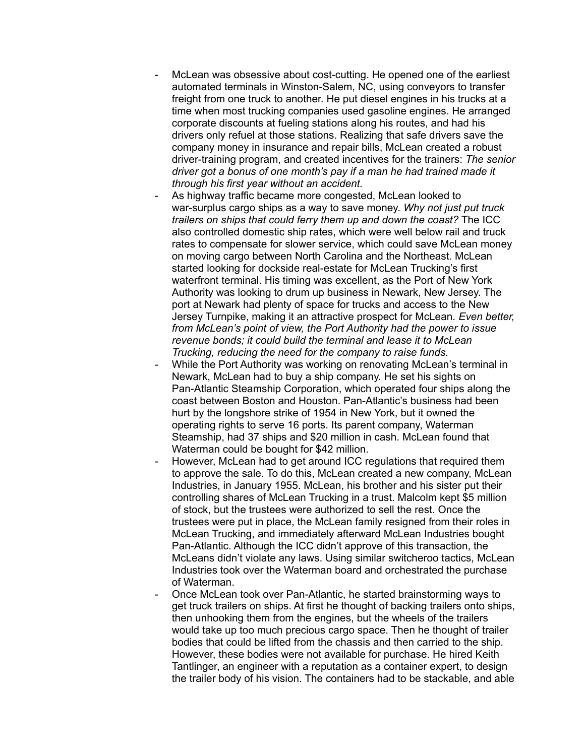- McLean was obsessive about cost-cutting. He opened one of the earliest automated terminals in Winston-Salem, NC, using conveyors to transfer freight from one truck to another. He put diesel engines in his trucks at a time when most trucking companies used gasoline engines. He arranged corporate discounts at fueling stations along his routes, and had his drivers only refuel at those stations. Realizing that safe drivers save the company money in insurance and repair bills, McLean created a robust driver-training program, and created incentives for the trainers: *The senior driver got a bonus of one month's pay if a man he had trained made it through his first year without an accident.*
- As highway traffic became more congested, McLean looked to war-surplus cargo ships as a way to save money. *Why not just put truck trailers on ships that could ferry them up and down the coast?* The ICC also controlled domestic ship rates, which were well below rail and truck rates to compensate for slower service, which could save McLean money on moving cargo between North Carolina and the Northeast. McLean started looking for dockside real-estate for McLean Trucking's first waterfront terminal. His timing was excellent, as the Port of New York Authority was looking to drum up business in Newark, New Jersey. The port at Newark had plenty of space for trucks and access to the New Jersey Turnpike, making it an attractive prospect for McLean. *Even better, from McLean's point of view, the Port Authority had the power to issue revenue bonds; it could build the terminal and lease it to McLean Trucking, reducing the need for the company to raise funds.*
- While the Port Authority was working on renovating McLean's terminal in Newark, McLean had to buy a ship company. He set his sights on Pan-Atlantic Steamship Corporation, which operated four ships along the coast between Boston and Houston. Pan-Atlantic's business had been hurt by the longshore strike of 1954 in New York, but it owned the operating rights to serve 16 ports. Its parent company, Waterman Steamship, had 37 ships and \$20 million in cash. McLean found that Waterman could be bought for \$42 million.
- However, McLean had to get around ICC regulations that required them to approve the sale. To do this, McLean created a new company, McLean Industries, in January 1955. McLean, his brother and his sister put their controlling shares of McLean Trucking in a trust. Malcolm kept \$5 million of stock, but the trustees were authorized to sell the rest. Once the trustees were put in place, the McLean family resigned from their roles in McLean Trucking, and immediately afterward McLean Industries bought Pan-Atlantic. Although the ICC didn't approve of this transaction, the McLeans didn't violate any laws. Using similar switcheroo tactics, McLean Industries took over the Waterman board and orchestrated the purchase of Waterman.
- Once McLean took over Pan-Atlantic, he started brainstorming ways to get truck trailers on ships. At first he thought of backing trailers onto ships, then unhooking them from the engines, but the wheels of the trailers would take up too much precious cargo space. Then he thought of trailer bodies that could be lifted from the chassis and then carried to the ship. However, these bodies were not available for purchase. He hired Keith Tantlinger, an engineer with a reputation as a container expert, to design the trailer body of his vision. The containers had to be stackable, and able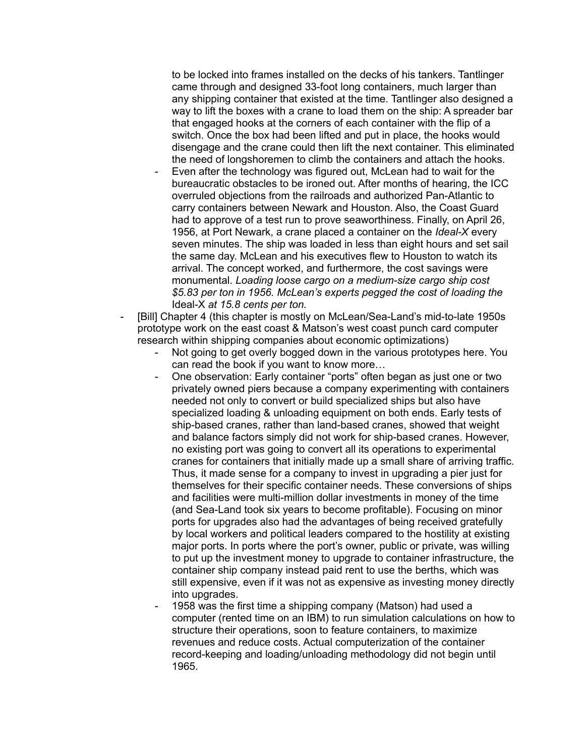to be locked into frames installed on the decks of his tankers. Tantlinger came through and designed 33-foot long containers, much larger than any shipping container that existed at the time. Tantlinger also designed a way to lift the boxes with a crane to load them on the ship: A spreader bar that engaged hooks at the corners of each container with the flip of a switch. Once the box had been lifted and put in place, the hooks would disengage and the crane could then lift the next container. This eliminated the need of longshoremen to climb the containers and attach the hooks.

- Even after the technology was figured out, McLean had to wait for the bureaucratic obstacles to be ironed out. After months of hearing, the ICC overruled objections from the railroads and authorized Pan-Atlantic to carry containers between Newark and Houston. Also, the Coast Guard had to approve of a test run to prove seaworthiness. Finally, on April 26, 1956, at Port Newark, a crane placed a container on the *Ideal-X* every seven minutes. The ship was loaded in less than eight hours and set sail the same day. McLean and his executives flew to Houston to watch its arrival. The concept worked, and furthermore, the cost savings were monumental. *Loading loose cargo on a medium-size cargo ship cost \$5.83 per ton in 1956. McLean's experts pegged the cost of loading the* Ideal-X *at 15.8 cents per ton.*
- [Bill] Chapter 4 (this chapter is mostly on McLean/Sea-Land's mid-to-late 1950s prototype work on the east coast & Matson's west coast punch card computer research within shipping companies about economic optimizations)
	- Not going to get overly bogged down in the various prototypes here. You can read the book if you want to know more…
	- One observation: Early container "ports" often began as just one or two privately owned piers because a company experimenting with containers needed not only to convert or build specialized ships but also have specialized loading & unloading equipment on both ends. Early tests of ship-based cranes, rather than land-based cranes, showed that weight and balance factors simply did not work for ship-based cranes. However, no existing port was going to convert all its operations to experimental cranes for containers that initially made up a small share of arriving traffic. Thus, it made sense for a company to invest in upgrading a pier just for themselves for their specific container needs. These conversions of ships and facilities were multi-million dollar investments in money of the time (and Sea-Land took six years to become profitable). Focusing on minor ports for upgrades also had the advantages of being received gratefully by local workers and political leaders compared to the hostility at existing major ports. In ports where the port's owner, public or private, was willing to put up the investment money to upgrade to container infrastructure, the container ship company instead paid rent to use the berths, which was still expensive, even if it was not as expensive as investing money directly into upgrades.
	- 1958 was the first time a shipping company (Matson) had used a computer (rented time on an IBM) to run simulation calculations on how to structure their operations, soon to feature containers, to maximize revenues and reduce costs. Actual computerization of the container record-keeping and loading/unloading methodology did not begin until 1965.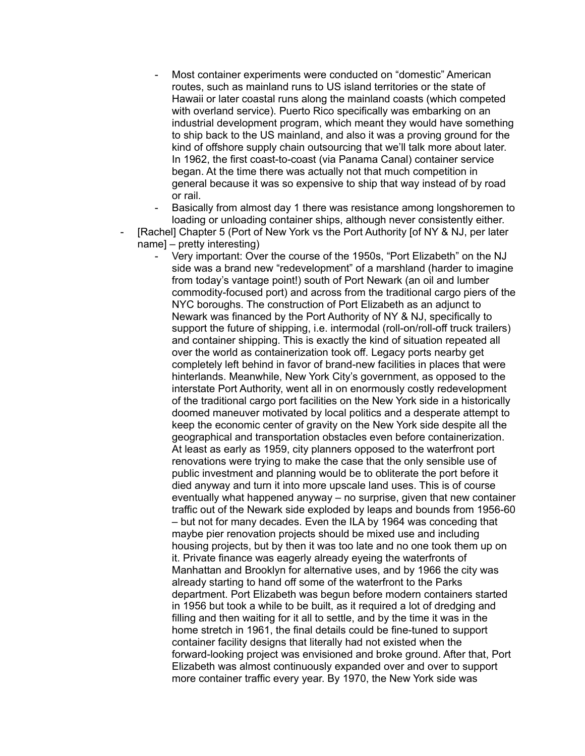Most container experiments were conducted on "domestic" American routes, such as mainland runs to US island territories or the state of Hawaii or later coastal runs along the mainland coasts (which competed with overland service). Puerto Rico specifically was embarking on an industrial development program, which meant they would have something to ship back to the US mainland, and also it was a proving ground for the kind of offshore supply chain outsourcing that we'll talk more about later. In 1962, the first coast-to-coast (via Panama Canal) container service began. At the time there was actually not that much competition in general because it was so expensive to ship that way instead of by road or rail.

Basically from almost day 1 there was resistance among longshoremen to loading or unloading container ships, although never consistently either.

- [Rachel] Chapter 5 (Port of New York vs the Port Authority [of NY & NJ, per later name] – pretty interesting)
	- Very important: Over the course of the 1950s, "Port Elizabeth" on the NJ side was a brand new "redevelopment" of a marshland (harder to imagine from today's vantage point!) south of Port Newark (an oil and lumber commodity-focused port) and across from the traditional cargo piers of the NYC boroughs. The construction of Port Elizabeth as an adjunct to Newark was financed by the Port Authority of NY & NJ, specifically to support the future of shipping, i.e. intermodal (roll-on/roll-off truck trailers) and container shipping. This is exactly the kind of situation repeated all over the world as containerization took off. Legacy ports nearby get completely left behind in favor of brand-new facilities in places that were hinterlands. Meanwhile, New York City's government, as opposed to the interstate Port Authority, went all in on enormously costly redevelopment of the traditional cargo port facilities on the New York side in a historically doomed maneuver motivated by local politics and a desperate attempt to keep the economic center of gravity on the New York side despite all the geographical and transportation obstacles even before containerization. At least as early as 1959, city planners opposed to the waterfront port renovations were trying to make the case that the only sensible use of public investment and planning would be to obliterate the port before it died anyway and turn it into more upscale land uses. This is of course eventually what happened anyway – no surprise, given that new container traffic out of the Newark side exploded by leaps and bounds from 1956-60 – but not for many decades. Even the ILA by 1964 was conceding that maybe pier renovation projects should be mixed use and including housing projects, but by then it was too late and no one took them up on it. Private finance was eagerly already eyeing the waterfronts of Manhattan and Brooklyn for alternative uses, and by 1966 the city was already starting to hand off some of the waterfront to the Parks department. Port Elizabeth was begun before modern containers started in 1956 but took a while to be built, as it required a lot of dredging and filling and then waiting for it all to settle, and by the time it was in the home stretch in 1961, the final details could be fine-tuned to support container facility designs that literally had not existed when the forward-looking project was envisioned and broke ground. After that, Port Elizabeth was almost continuously expanded over and over to support more container traffic every year. By 1970, the New York side was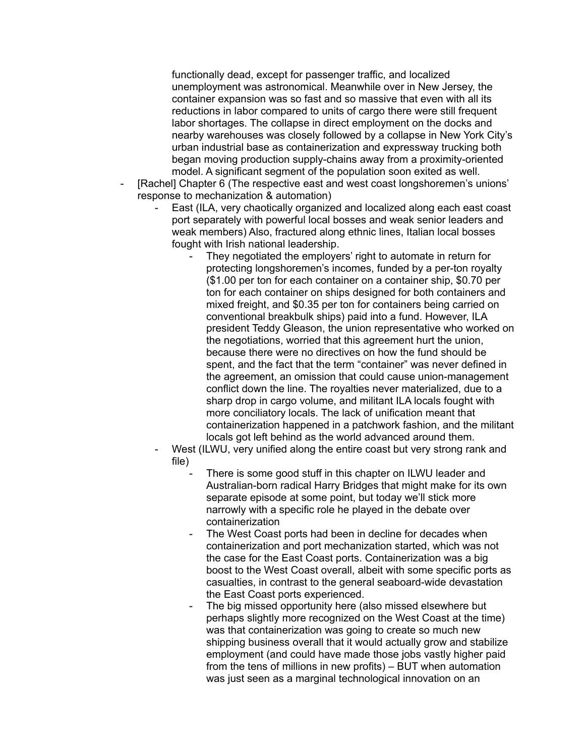functionally dead, except for passenger traffic, and localized unemployment was astronomical. Meanwhile over in New Jersey, the container expansion was so fast and so massive that even with all its reductions in labor compared to units of cargo there were still frequent labor shortages. The collapse in direct employment on the docks and nearby warehouses was closely followed by a collapse in New York City's urban industrial base as containerization and expressway trucking both began moving production supply-chains away from a proximity-oriented model. A significant segment of the population soon exited as well.

- [Rachel] Chapter 6 (The respective east and west coast longshoremen's unions' response to mechanization & automation)
	- East (ILA, very chaotically organized and localized along each east coast port separately with powerful local bosses and weak senior leaders and weak members) Also, fractured along ethnic lines, Italian local bosses fought with Irish national leadership.
		- They negotiated the employers' right to automate in return for protecting longshoremen's incomes, funded by a per-ton royalty (\$1.00 per ton for each container on a container ship, \$0.70 per ton for each container on ships designed for both containers and mixed freight, and \$0.35 per ton for containers being carried on conventional breakbulk ships) paid into a fund. However, ILA president Teddy Gleason, the union representative who worked on the negotiations, worried that this agreement hurt the union, because there were no directives on how the fund should be spent, and the fact that the term "container" was never defined in the agreement, an omission that could cause union-management conflict down the line. The royalties never materialized, due to a sharp drop in cargo volume, and militant ILA locals fought with more conciliatory locals. The lack of unification meant that containerization happened in a patchwork fashion, and the militant locals got left behind as the world advanced around them.
	- West (ILWU, very unified along the entire coast but very strong rank and file)
		- There is some good stuff in this chapter on ILWU leader and Australian-born radical Harry Bridges that might make for its own separate episode at some point, but today we'll stick more narrowly with a specific role he played in the debate over containerization
		- The West Coast ports had been in decline for decades when containerization and port mechanization started, which was not the case for the East Coast ports. Containerization was a big boost to the West Coast overall, albeit with some specific ports as casualties, in contrast to the general seaboard-wide devastation the East Coast ports experienced.
		- The big missed opportunity here (also missed elsewhere but perhaps slightly more recognized on the West Coast at the time) was that containerization was going to create so much new shipping business overall that it would actually grow and stabilize employment (and could have made those jobs vastly higher paid from the tens of millions in new profits) – BUT when automation was just seen as a marginal technological innovation on an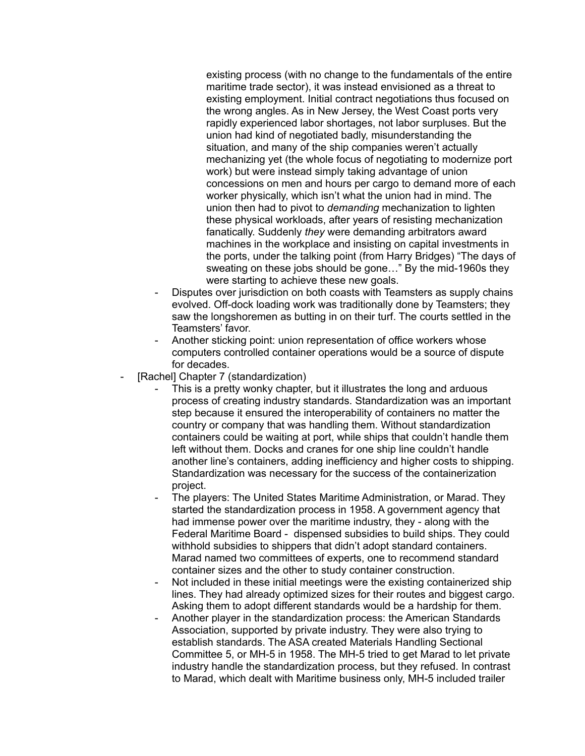existing process (with no change to the fundamentals of the entire maritime trade sector), it was instead envisioned as a threat to existing employment. Initial contract negotiations thus focused on the wrong angles. As in New Jersey, the West Coast ports very rapidly experienced labor shortages, not labor surpluses. But the union had kind of negotiated badly, misunderstanding the situation, and many of the ship companies weren't actually mechanizing yet (the whole focus of negotiating to modernize port work) but were instead simply taking advantage of union concessions on men and hours per cargo to demand more of each worker physically, which isn't what the union had in mind. The union then had to pivot to *demanding* mechanization to lighten these physical workloads, after years of resisting mechanization fanatically. Suddenly *they* were demanding arbitrators award machines in the workplace and insisting on capital investments in the ports, under the talking point (from Harry Bridges) "The days of sweating on these jobs should be gone…" By the mid-1960s they were starting to achieve these new goals.

- Disputes over jurisdiction on both coasts with Teamsters as supply chains evolved. Off-dock loading work was traditionally done by Teamsters; they saw the longshoremen as butting in on their turf. The courts settled in the Teamsters' favor.
- Another sticking point: union representation of office workers whose computers controlled container operations would be a source of dispute for decades.
- [Rachel] Chapter 7 (standardization)
	- This is a pretty wonky chapter, but it illustrates the long and arduous process of creating industry standards. Standardization was an important step because it ensured the interoperability of containers no matter the country or company that was handling them. Without standardization containers could be waiting at port, while ships that couldn't handle them left without them. Docks and cranes for one ship line couldn't handle another line's containers, adding inefficiency and higher costs to shipping. Standardization was necessary for the success of the containerization project.
	- The players: The United States Maritime Administration, or Marad. They started the standardization process in 1958. A government agency that had immense power over the maritime industry, they - along with the Federal Maritime Board - dispensed subsidies to build ships. They could withhold subsidies to shippers that didn't adopt standard containers. Marad named two committees of experts, one to recommend standard container sizes and the other to study container construction.
	- Not included in these initial meetings were the existing containerized ship lines. They had already optimized sizes for their routes and biggest cargo. Asking them to adopt different standards would be a hardship for them.
	- Another player in the standardization process: the American Standards Association, supported by private industry. They were also trying to establish standards. The ASA created Materials Handling Sectional Committee 5, or MH-5 in 1958. The MH-5 tried to get Marad to let private industry handle the standardization process, but they refused. In contrast to Marad, which dealt with Maritime business only, MH-5 included trailer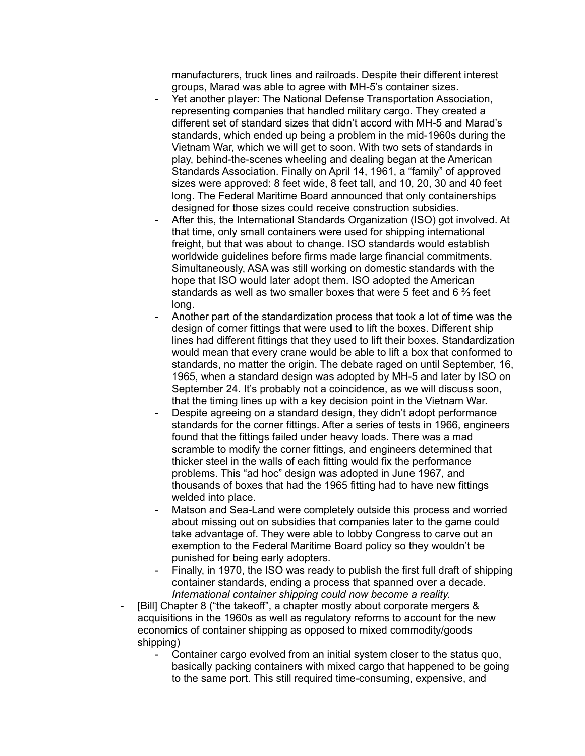manufacturers, truck lines and railroads. Despite their different interest groups, Marad was able to agree with MH-5's container sizes.

- Yet another player: The National Defense Transportation Association, representing companies that handled military cargo. They created a different set of standard sizes that didn't accord with MH-5 and Marad's standards, which ended up being a problem in the mid-1960s during the Vietnam War, which we will get to soon. With two sets of standards in play, behind-the-scenes wheeling and dealing began at the American Standards Association. Finally on April 14, 1961, a "family" of approved sizes were approved: 8 feet wide, 8 feet tall, and 10, 20, 30 and 40 feet long. The Federal Maritime Board announced that only containerships designed for those sizes could receive construction subsidies.
- After this, the International Standards Organization (ISO) got involved. At that time, only small containers were used for shipping international freight, but that was about to change. ISO standards would establish worldwide guidelines before firms made large financial commitments. Simultaneously, ASA was still working on domestic standards with the hope that ISO would later adopt them. ISO adopted the American standards as well as two smaller boxes that were 5 feet and 6 ⅔ feet long.
- Another part of the standardization process that took a lot of time was the design of corner fittings that were used to lift the boxes. Different ship lines had different fittings that they used to lift their boxes. Standardization would mean that every crane would be able to lift a box that conformed to standards, no matter the origin. The debate raged on until September, 16, 1965, when a standard design was adopted by MH-5 and later by ISO on September 24. It's probably not a coincidence, as we will discuss soon, that the timing lines up with a key decision point in the Vietnam War.
- Despite agreeing on a standard design, they didn't adopt performance standards for the corner fittings. After a series of tests in 1966, engineers found that the fittings failed under heavy loads. There was a mad scramble to modify the corner fittings, and engineers determined that thicker steel in the walls of each fitting would fix the performance problems. This "ad hoc" design was adopted in June 1967, and thousands of boxes that had the 1965 fitting had to have new fittings welded into place.
- Matson and Sea-Land were completely outside this process and worried about missing out on subsidies that companies later to the game could take advantage of. They were able to lobby Congress to carve out an exemption to the Federal Maritime Board policy so they wouldn't be punished for being early adopters.
- Finally, in 1970, the ISO was ready to publish the first full draft of shipping container standards, ending a process that spanned over a decade. *International container shipping could now become a reality.*
- [Bill] Chapter 8 ("the takeoff", a chapter mostly about corporate mergers & acquisitions in the 1960s as well as regulatory reforms to account for the new economics of container shipping as opposed to mixed commodity/goods shipping)
	- Container cargo evolved from an initial system closer to the status quo, basically packing containers with mixed cargo that happened to be going to the same port. This still required time-consuming, expensive, and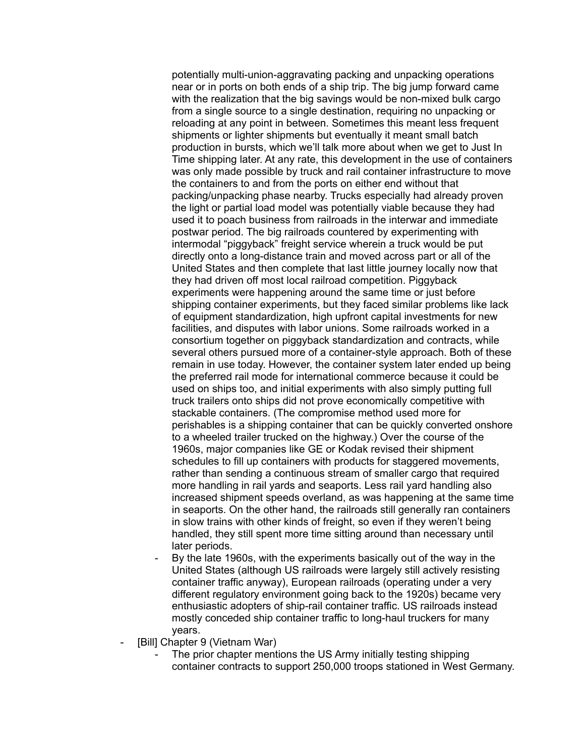potentially multi-union-aggravating packing and unpacking operations near or in ports on both ends of a ship trip. The big jump forward came with the realization that the big savings would be non-mixed bulk cargo from a single source to a single destination, requiring no unpacking or reloading at any point in between. Sometimes this meant less frequent shipments or lighter shipments but eventually it meant small batch production in bursts, which we'll talk more about when we get to Just In Time shipping later. At any rate, this development in the use of containers was only made possible by truck and rail container infrastructure to move the containers to and from the ports on either end without that packing/unpacking phase nearby. Trucks especially had already proven the light or partial load model was potentially viable because they had used it to poach business from railroads in the interwar and immediate postwar period. The big railroads countered by experimenting with intermodal "piggyback" freight service wherein a truck would be put directly onto a long-distance train and moved across part or all of the United States and then complete that last little journey locally now that they had driven off most local railroad competition. Piggyback experiments were happening around the same time or just before shipping container experiments, but they faced similar problems like lack of equipment standardization, high upfront capital investments for new facilities, and disputes with labor unions. Some railroads worked in a consortium together on piggyback standardization and contracts, while several others pursued more of a container-style approach. Both of these remain in use today. However, the container system later ended up being the preferred rail mode for international commerce because it could be used on ships too, and initial experiments with also simply putting full truck trailers onto ships did not prove economically competitive with stackable containers. (The compromise method used more for perishables is a shipping container that can be quickly converted onshore to a wheeled trailer trucked on the highway.) Over the course of the 1960s, major companies like GE or Kodak revised their shipment schedules to fill up containers with products for staggered movements, rather than sending a continuous stream of smaller cargo that required more handling in rail yards and seaports. Less rail yard handling also increased shipment speeds overland, as was happening at the same time in seaports. On the other hand, the railroads still generally ran containers in slow trains with other kinds of freight, so even if they weren't being handled, they still spent more time sitting around than necessary until later periods.

- By the late 1960s, with the experiments basically out of the way in the United States (although US railroads were largely still actively resisting container traffic anyway), European railroads (operating under a very different regulatory environment going back to the 1920s) became very enthusiastic adopters of ship-rail container traffic. US railroads instead mostly conceded ship container traffic to long-haul truckers for many years.
- [Bill] Chapter 9 (Vietnam War)
	- The prior chapter mentions the US Army initially testing shipping container contracts to support 250,000 troops stationed in West Germany.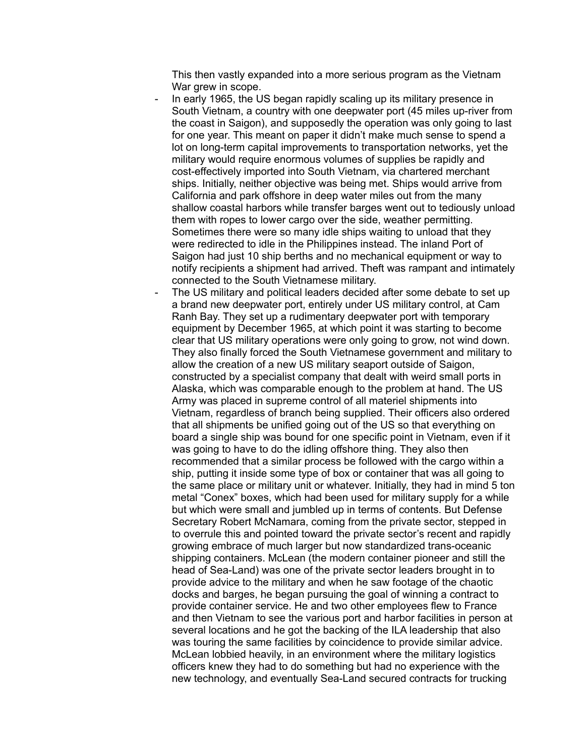This then vastly expanded into a more serious program as the Vietnam War grew in scope.

- In early 1965, the US began rapidly scaling up its military presence in South Vietnam, a country with one deepwater port (45 miles up-river from the coast in Saigon), and supposedly the operation was only going to last for one year. This meant on paper it didn't make much sense to spend a lot on long-term capital improvements to transportation networks, yet the military would require enormous volumes of supplies be rapidly and cost-effectively imported into South Vietnam, via chartered merchant ships. Initially, neither objective was being met. Ships would arrive from California and park offshore in deep water miles out from the many shallow coastal harbors while transfer barges went out to tediously unload them with ropes to lower cargo over the side, weather permitting. Sometimes there were so many idle ships waiting to unload that they were redirected to idle in the Philippines instead. The inland Port of Saigon had just 10 ship berths and no mechanical equipment or way to notify recipients a shipment had arrived. Theft was rampant and intimately connected to the South Vietnamese military.
- The US military and political leaders decided after some debate to set up a brand new deepwater port, entirely under US military control, at Cam Ranh Bay. They set up a rudimentary deepwater port with temporary equipment by December 1965, at which point it was starting to become clear that US military operations were only going to grow, not wind down. They also finally forced the South Vietnamese government and military to allow the creation of a new US military seaport outside of Saigon, constructed by a specialist company that dealt with weird small ports in Alaska, which was comparable enough to the problem at hand. The US Army was placed in supreme control of all materiel shipments into Vietnam, regardless of branch being supplied. Their officers also ordered that all shipments be unified going out of the US so that everything on board a single ship was bound for one specific point in Vietnam, even if it was going to have to do the idling offshore thing. They also then recommended that a similar process be followed with the cargo within a ship, putting it inside some type of box or container that was all going to the same place or military unit or whatever. Initially, they had in mind 5 ton metal "Conex" boxes, which had been used for military supply for a while but which were small and jumbled up in terms of contents. But Defense Secretary Robert McNamara, coming from the private sector, stepped in to overrule this and pointed toward the private sector's recent and rapidly growing embrace of much larger but now standardized trans-oceanic shipping containers. McLean (the modern container pioneer and still the head of Sea-Land) was one of the private sector leaders brought in to provide advice to the military and when he saw footage of the chaotic docks and barges, he began pursuing the goal of winning a contract to provide container service. He and two other employees flew to France and then Vietnam to see the various port and harbor facilities in person at several locations and he got the backing of the ILA leadership that also was touring the same facilities by coincidence to provide similar advice. McLean lobbied heavily, in an environment where the military logistics officers knew they had to do something but had no experience with the new technology, and eventually Sea-Land secured contracts for trucking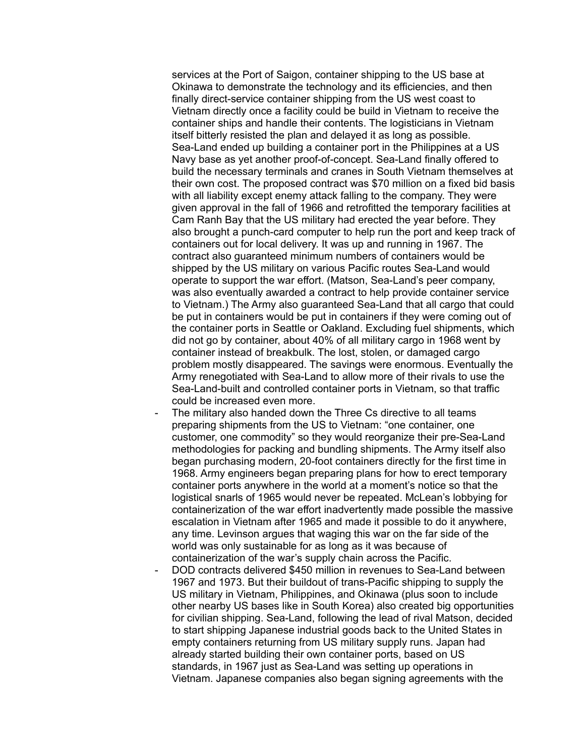services at the Port of Saigon, container shipping to the US base at Okinawa to demonstrate the technology and its efficiencies, and then finally direct-service container shipping from the US west coast to Vietnam directly once a facility could be build in Vietnam to receive the container ships and handle their contents. The logisticians in Vietnam itself bitterly resisted the plan and delayed it as long as possible. Sea-Land ended up building a container port in the Philippines at a US Navy base as yet another proof-of-concept. Sea-Land finally offered to build the necessary terminals and cranes in South Vietnam themselves at their own cost. The proposed contract was \$70 million on a fixed bid basis with all liability except enemy attack falling to the company. They were given approval in the fall of 1966 and retrofitted the temporary facilities at Cam Ranh Bay that the US military had erected the year before. They also brought a punch-card computer to help run the port and keep track of containers out for local delivery. It was up and running in 1967. The contract also guaranteed minimum numbers of containers would be shipped by the US military on various Pacific routes Sea-Land would operate to support the war effort. (Matson, Sea-Land's peer company, was also eventually awarded a contract to help provide container service to Vietnam.) The Army also guaranteed Sea-Land that all cargo that could be put in containers would be put in containers if they were coming out of the container ports in Seattle or Oakland. Excluding fuel shipments, which did not go by container, about 40% of all military cargo in 1968 went by container instead of breakbulk. The lost, stolen, or damaged cargo problem mostly disappeared. The savings were enormous. Eventually the Army renegotiated with Sea-Land to allow more of their rivals to use the Sea-Land-built and controlled container ports in Vietnam, so that traffic could be increased even more.

- The military also handed down the Three Cs directive to all teams preparing shipments from the US to Vietnam: "one container, one customer, one commodity" so they would reorganize their pre-Sea-Land methodologies for packing and bundling shipments. The Army itself also began purchasing modern, 20-foot containers directly for the first time in 1968. Army engineers began preparing plans for how to erect temporary container ports anywhere in the world at a moment's notice so that the logistical snarls of 1965 would never be repeated. McLean's lobbying for containerization of the war effort inadvertently made possible the massive escalation in Vietnam after 1965 and made it possible to do it anywhere, any time. Levinson argues that waging this war on the far side of the world was only sustainable for as long as it was because of containerization of the war's supply chain across the Pacific.
- DOD contracts delivered \$450 million in revenues to Sea-Land between 1967 and 1973. But their buildout of trans-Pacific shipping to supply the US military in Vietnam, Philippines, and Okinawa (plus soon to include other nearby US bases like in South Korea) also created big opportunities for civilian shipping. Sea-Land, following the lead of rival Matson, decided to start shipping Japanese industrial goods back to the United States in empty containers returning from US military supply runs. Japan had already started building their own container ports, based on US standards, in 1967 just as Sea-Land was setting up operations in Vietnam. Japanese companies also began signing agreements with the